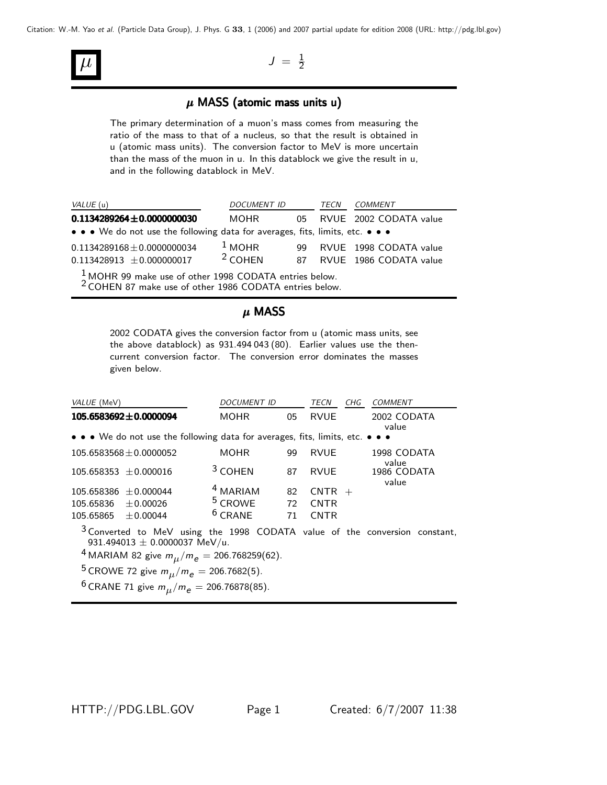

## $\mu$  MASS (atomic mass units u)

The primary determination of a muon's mass comes from measuring the ratio of the mass to that of a nucleus, so that the result is obtained in u (atomic mass units). The conversion factor to MeV is more uncertain than the mass of the muon in u. In this datablock we give the result in u, and in the following datablock in MeV.

| VALUE (u)                                                                     | <i>DOCUMENT ID</i> |     | TECN | COMMENT                   |
|-------------------------------------------------------------------------------|--------------------|-----|------|---------------------------|
| $0.1134289264 \pm 0.0000000030$                                               | MOHR               |     |      | 05 RVUE 2002 CODATA value |
| • • • We do not use the following data for averages, fits, limits, etc. • • • |                    |     |      |                           |
| $0.1134289168 \pm 0.0000000034$                                               | $1$ MOHR           | 99. |      | RVUE 1998 CODATA value    |
| $0.113428913 \pm 0.000000017$                                                 | $2$ COHEN          |     |      | 87 RVUE 1986 CODATA value |
| $11011000$ $1$ $1000001$                                                      |                    |     |      |                           |

1 MOHR 99 make use of other 1998 CODATA entries below. 2 COHEN 87 make use of other 1986 CODATA entries below.

#### $\mu$  MASS

2002 CODATA gives the conversion factor from u (atomic mass units, see the above datablock) as 931.494 043 (80). Earlier values use the thencurrent conversion factor. The conversion error dominates the masses given below.

| VALUE (MeV)                                                                                                                                                                                | <b>DOCUMENT ID</b>  |    | TECN        | CHG | <b>COMMENT</b>       |  |  |
|--------------------------------------------------------------------------------------------------------------------------------------------------------------------------------------------|---------------------|----|-------------|-----|----------------------|--|--|
| $105.6583692 \pm 0.0000094$                                                                                                                                                                | MOHR.               | 05 | <b>RVUE</b> |     | 2002 CODATA<br>value |  |  |
| • • • We do not use the following data for averages, fits, limits, etc. • • •                                                                                                              |                     |    |             |     |                      |  |  |
| $105.6583568 \pm 0.0000052$                                                                                                                                                                | <b>MOHR</b>         | 99 | <b>RVUE</b> |     | 1998 CODATA<br>value |  |  |
| $105.658353 \pm 0.000016$                                                                                                                                                                  | $3$ COHEN           | 87 | RVUE        |     | 1986 CODATA<br>value |  |  |
| $105.658386 \pm 0.000044$                                                                                                                                                                  | <sup>4</sup> MARIAM | 82 | $CNTR +$    |     |                      |  |  |
| $\pm$ 0.00026<br>105.65836                                                                                                                                                                 | <sup>5</sup> CROWE  | 72 | <b>CNTR</b> |     |                      |  |  |
| $105.65865 \pm 0.00044$                                                                                                                                                                    | $6$ CRANE           | 71 | <b>CNTR</b> |     |                      |  |  |
| <sup>3</sup> Converted to MeV using the 1998 CODATA value of the conversion constant,<br>931.494013 $\pm$ 0.0000037 MeV/u.<br><sup>4</sup> MARIAM 82 give $m_{\mu}/m_e = 206.768259(62)$ . |                     |    |             |     |                      |  |  |
| <sup>5</sup> CROWE 72 give $m_{\mu}/m_e = 206.7682(5)$ .                                                                                                                                   |                     |    |             |     |                      |  |  |
| $6$ CDANE 71 $\sin m / m = 206$ 76070(05)                                                                                                                                                  |                     |    |             |     |                      |  |  |

 $^{6}$  CRANE 71 give  $m_{\mu}/m_{e} = 206.76878(85)$ .

HTTP://PDG.LBL.GOV Page 1 Created: 6/7/2007 11:38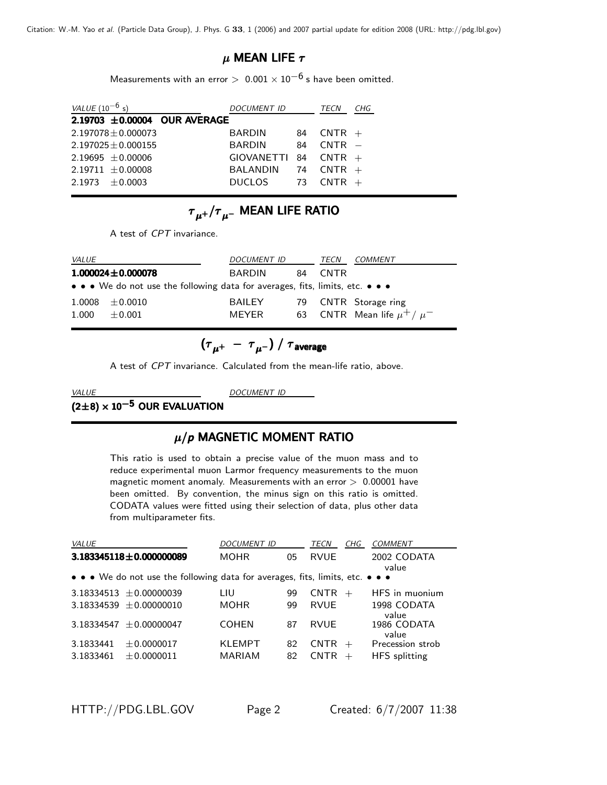#### $\mu$  MEAN LIFE  $\tau$

Measurements with an error >  $0.001 \times 10^{-6}$  s have been omitted.

| <b>DOCUMENT ID</b> |                                   | TECN     | CHG                                               |
|--------------------|-----------------------------------|----------|---------------------------------------------------|
|                    |                                   |          |                                                   |
| <b>BARDIN</b>      | 84                                |          |                                                   |
| <b>BARDIN</b>      | 84                                | $CNTR -$ |                                                   |
|                    |                                   |          |                                                   |
| BALANDIN           |                                   |          |                                                   |
| <b>DUCLOS</b>      | -73                               | $CNTR +$ |                                                   |
|                    | $2.19703 \pm 0.00004$ OUR AVERAGE |          | $CNTR +$<br>$GIOVANETTI 84 CNTR +$<br>74 CNTR $+$ |

# ${\tau}_{\mu^+}/{\tau}_{\mu^-}$  MEAN LIFE RATIO

A test of *CPT* invariance.

| <i>VALUE</i> |                                                                               | <i>DOCUMENT ID</i> |  | TECN    | <i>COMMENT</i>                    |  |  |  |  |
|--------------|-------------------------------------------------------------------------------|--------------------|--|---------|-----------------------------------|--|--|--|--|
|              | $1.000024 \pm 0.000078$                                                       | BARDIN             |  | 84 CNTR |                                   |  |  |  |  |
|              | • • • We do not use the following data for averages, fits, limits, etc. • • • |                    |  |         |                                   |  |  |  |  |
|              | $1.0008 \pm 0.0010$                                                           | <b>BAILEY</b>      |  |         | 79 CNTR Storage ring              |  |  |  |  |
| 1.000        | $\pm 0.001$                                                                   | <b>MFYFR</b>       |  |         | 63 CNTR Mean life $\mu^+ / \mu^-$ |  |  |  |  |

$$
(\tau_{\mu^+}~-~\tau_{\mu^-})~/~\tau_{\rm average}
$$

A test of *CPT* invariance. Calculated from the mean-life ratio, above.

# <u>WALUE DOCUMENT DOCUMENT IDENTIFIED ACCUMENT ON THE STATISTIC OUR EVALUATION</u>

# <sup>µ</sup>/*p* MAGNETIC MOMENT RATIO

This ratio is used to obtain a precise value of the muon mass and to reduce experimental muon Larmor frequency measurements to the muon magnetic moment anomaly. Measurements with an error  $> 0.00001$  have been omitted. By convention, the minus sign on this ratio is omitted. CODATA values were fitted using their selection of data, plus other data from multiparameter fits.

| VALUE                       |                                                                               | <b>DOCUMENT ID</b> |    | TECN        | CHG | COMMENT                       |
|-----------------------------|-------------------------------------------------------------------------------|--------------------|----|-------------|-----|-------------------------------|
| $3.183345118 + 0.000000089$ |                                                                               | <b>MOHR</b>        | 05 | <b>RVUE</b> |     | 2002 CODATA<br>value          |
|                             | • • • We do not use the following data for averages, fits, limits, etc. • • • |                    |    |             |     |                               |
| $3.18334513 \pm 0.00000039$ |                                                                               | LIU                | 99 | <b>CNTR</b> | $+$ | HFS in muonium                |
| $3.18334539 + 0.00000010$   |                                                                               | <b>MOHR</b>        | 99 | <b>RVUE</b> |     | 1998 CODATA                   |
| $3.18334547 + 0.00000047$   |                                                                               | <b>COHEN</b>       | 87 | <b>RVUF</b> |     | value<br>1986 CODATA<br>value |
| 3.1833441                   | ± 0.0000017                                                                   | KLEMPT             | 82 | $CNTR +$    |     | Precession strob              |
| 3.1833461                   | ± 0.0000011                                                                   | <b>MARIAM</b>      | 82 | <b>CNTR</b> |     | <b>HFS</b> splitting          |

HTTP://PDG.LBL.GOV Page 2 Created: 6/7/2007 11:38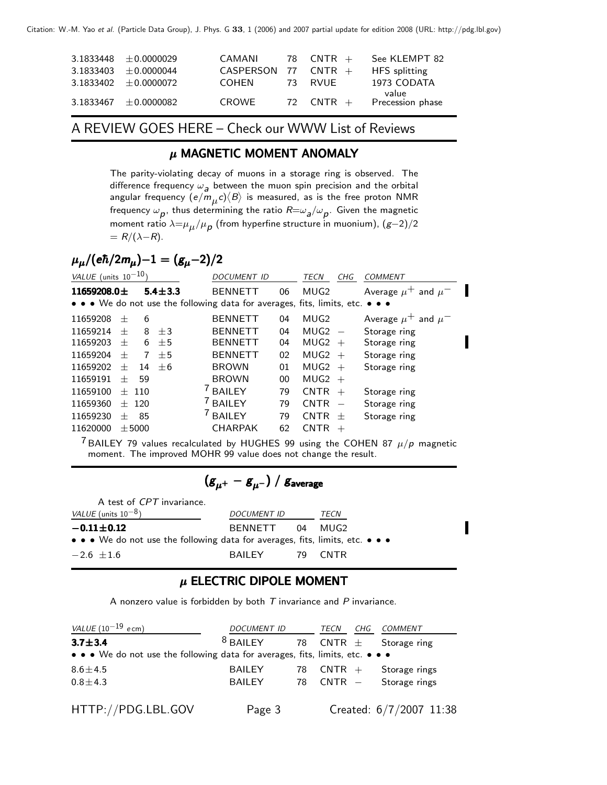| $3.1833448 \pm 0.0000029$ | CAMANI                | 78 CNTR + | See KLEMPT 82                         |
|---------------------------|-----------------------|-----------|---------------------------------------|
| $3.1833403 \pm 0.0000044$ | CASPERSON 77 CNTR $+$ |           | <b>HFS</b> splitting                  |
| $3.1833402 \pm 0.0000072$ | COHEN                 | 73 RVUF   | 1973 CODATA                           |
| $3.1833467 \pm 0.0000082$ | CROWE                 |           | value<br>72 $CNTR +$ Precession phase |

A REVIEW GOES HERE – Check our WWW List of Reviews

## $\mu$  MAGNETIC MOMENT ANOMALY

The parity-violating decay of muons in a storage ring is observed. The difference frequency  $\omega_{a}$  between the muon spin precision and the orbital *a* between the muon spin precision and the orbital<br>*m*,,*c*) $\langle B \rangle$  is measured, as is the free proton NMR angular frequency  $(e/m_\mu c)\langle B \rangle$  is measured, as is the free proton NMR<br>fractional is the determining the ratio  $B$  is the Citype the magnetic *B*<br>
frequency  $\omega_p$ , thus determining the ratio  $R = \omega_a/\omega_p$ . Given the magnetic<br>
moment ratio  $\lambda = u_a/u_a$  (from hyperfine structure in muonium).  $(\epsilon - 2)/2$ moment ratio <sup>λ</sup>=µµ/µ*p* (from hyperfine structure in muonium), (*g*−2)/2  $= R/(\lambda-R)$ .

# $\mu_{\mu}/(e\hbar/2m_{\mu})-1=(g_{\mu}-2)/2$

| VALUE (units $10^{-10}$ ) |                                                                               |            |               | <b>DOCUMENT ID</b>  |    | TECN        | <b>CHG</b>               | <b>COMMENT</b>              |  |  |
|---------------------------|-------------------------------------------------------------------------------|------------|---------------|---------------------|----|-------------|--------------------------|-----------------------------|--|--|
| 11659208.0 $\pm$          |                                                                               |            | $5.4 \pm 3.3$ | <b>BENNETT</b>      | 06 | MUG2        |                          | Average $\mu^+$ and $\mu^-$ |  |  |
|                           | • • • We do not use the following data for averages, fits, limits, etc. • • • |            |               |                     |    |             |                          |                             |  |  |
| 11659208                  | $^{+}$                                                                        | 6          |               | <b>BENNETT</b>      | 04 | MUG2        |                          | Average $\mu^+$ and $\mu^-$ |  |  |
| 11659214                  | $^{+}$                                                                        | 8          | $+3$          | <b>BENNETT</b>      | 04 | MUG2        | $\overline{\phantom{m}}$ | Storage ring                |  |  |
| 11659203                  | $^{+}$                                                                        | 6          | $+5$          | <b>BENNETT</b>      | 04 | MUG2        | $^{+}$                   | Storage ring                |  |  |
| 11659204                  | $^{+}$                                                                        | 7          | $+5$          | <b>BENNETT</b>      | 02 | MUG2        | $+$                      | Storage ring                |  |  |
| 11659202                  | $^{+}$                                                                        | 14         | $+6$          | <b>BROWN</b>        | 01 | MUG2        | $^{+}$                   | Storage ring                |  |  |
| 11659191                  | $^{+}$                                                                        | 59         |               | <b>BROWN</b>        | 00 | MUG2        | $+$                      |                             |  |  |
| 11659100                  | $+$                                                                           | 110        |               | <sup>7</sup> BAILEY | 79 | <b>CNTR</b> | $+$                      | Storage ring                |  |  |
| 11659360                  | $+$                                                                           | 120        |               | <sup>/</sup> BAILEY | 79 | <b>CNTR</b> |                          | Storage ring                |  |  |
| 11659230                  | $^{+}$                                                                        | 85         |               | <sup>/</sup> BAILEY | 79 | <b>CNTR</b> | $^{+}$                   | Storage ring                |  |  |
| 11620000                  |                                                                               | $\pm$ 5000 |               | <b>CHARPAK</b>      | 62 | <b>CNTR</b> | $^{+}$                   |                             |  |  |
|                           |                                                                               |            |               |                     |    |             |                          |                             |  |  |

 $^7$  BAILEY 79 values recalculated by HUGHES 99 using the COHEN 87  $\mu/p$  magnetic moment. The improved MOHR 99 value does not change the result.

$$
\left({\bf g}_{\mu^+} - {\bf g}_{\mu^-}\right)/\;{\bf g}_{\rm average}
$$

| A test of CPT invariance.                                                     |                    |  |         |  |  |  |  |  |
|-------------------------------------------------------------------------------|--------------------|--|---------|--|--|--|--|--|
| <i>VALUE</i> (units $10^{-8}$ )                                               | <b>DOCUMENT ID</b> |  | TECN    |  |  |  |  |  |
| $-0.11 \pm 0.12$                                                              | BENNETT 04 MUG2    |  |         |  |  |  |  |  |
| • • • We do not use the following data for averages, fits, limits, etc. • • • |                    |  |         |  |  |  |  |  |
| $-2.6 \pm 1.6$                                                                | BAILEY             |  | 79 CNTR |  |  |  |  |  |

#### $\mu$  ELECTRIC DIPOLE MOMENT

A nonzero value is forbidden by both *T* invariance and *P* invariance.

| VALUE $(10^{-19}$ ecm)                                                        | <i>DOCUMENT ID</i> |    | TECN                       | CHG | <i>COMMENT</i>            |
|-------------------------------------------------------------------------------|--------------------|----|----------------------------|-----|---------------------------|
| $3.7 + 3.4$                                                                   | $8$ BAILEY         |    | 78 $CNTR \pm$ Storage ring |     |                           |
| • • • We do not use the following data for averages, fits, limits, etc. • • • |                    |    |                            |     |                           |
| $8.6 \pm 4.5$                                                                 | <b>BAILEY</b>      | 78 | $\mathsf{CNTR}$ +          |     | Storage rings             |
| $0.8 + 4.3$                                                                   | <b>BAILEY</b>      |    |                            |     | 78 $CNTR -$ Storage rings |
|                                                                               |                    |    |                            |     |                           |
| HTTP://PDG.LBL.GOV                                                            | Page 3             |    |                            |     | Created: 6/7/2007 11:38   |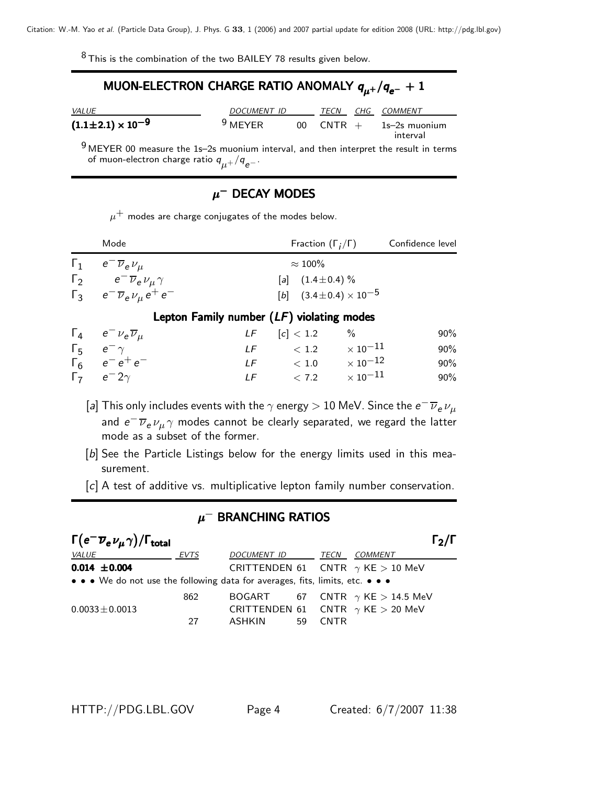$8$  This is the combination of the two BAILEY 78 results given below.

# MUON-ELECTRON CHARGE RATIO ANOMALY  $q_{\mu^+}/q_{e^-} + 1$

| <i>VALUE</i>                   | DOCUMENT ID |                 |          | CHG COMMENT               |  |
|--------------------------------|-------------|-----------------|----------|---------------------------|--|
| $(1.1 \pm 2.1) \times 10^{-9}$ | $9$ MEYER   | 00 <sup>1</sup> | $CNTR +$ | 1s–2s muonium<br>interval |  |

 $9$  MEYER 00 measure the 1s–2s muonium interval, and then interpret the result in terms of muon-electron charge ratio *<sup>q</sup>*µ+/*qe*<sup>−</sup>.

## $\mu^-$  DECAY MODES

 $\mu^+$  modes are charge conjugates of the modes below.

| Mode                                              | Fraction $(\Gamma_i/\Gamma)$         | Confidence level |
|---------------------------------------------------|--------------------------------------|------------------|
| $\Gamma_1$ $e^- \overline{\nu}_e \nu_\mu$         | $\approx 100\%$                      |                  |
| $\Gamma_2$ $e^{-}\overline{\nu}_e \nu_\mu \gamma$ | [a] $(1.4 \pm 0.4)$ %                |                  |
| $\Gamma_3$ $e^- \overline{\nu}_e \nu_\mu e^+ e^-$ | $[b]$ $(3.4 \pm 0.4) \times 10^{-5}$ |                  |
|                                                   |                                      |                  |

#### Lepton Family number (*LF*) violating modes

| $\Gamma_4$ $e^- \nu_e \overline{\nu}_\mu$ | $LF$ [c] < 1.2 %           | $90\%$ |
|-------------------------------------------|----------------------------|--------|
| $\Gamma_5$ $e^ \gamma$                    | LF $< 1.2 \times 10^{-11}$ | 90%    |
| $\Gamma_6$ $e^-e^+e^-$                    | LF $< 1.0 \times 10^{-12}$ | 90%    |
| $\Gamma_7$ $e^-2\gamma$                   | LF $< 7.2 \times 10^{-11}$ | 90%    |
|                                           |                            |        |

- [*a*] This only includes events with the  $\gamma$  energy  $> 10$  MeV. Since the  $e^- \overline{\nu}_e \nu_\mu$ and *e<sup>−</sup>*  $\overline{\nu}_e$  *ν<sub>μ</sub> γ* modes cannot be clearly separated, we regard the latter mode as a subset of the former.
- [b] See the Particle Listings below for the energy limits used in this measurement.
- [*c*] A test of additive vs. multiplicative lepton family number conservation.

#### $\mu^-$  BRANCHING RATIOS

| $\Gamma\big(\pmb{e}^-\overline{\pmb{\nu}}_{\pmb{e}}\,\nu_{\pmb{\mu}}\,\gamma\big)/\Gamma_{\pmb{\text{total}}}$ |             |                                           |             | $\Gamma_2/\Gamma$                       |
|----------------------------------------------------------------------------------------------------------------|-------------|-------------------------------------------|-------------|-----------------------------------------|
| <i>VALUE</i>                                                                                                   | <b>EVTS</b> | DOCUMENT ID                               | TECN        | <i>COMMENT</i>                          |
| $0.014 \pm 0.004$                                                                                              |             | CRITTENDEN 61 CNTR $\gamma$ KE $>$ 10 MeV |             |                                         |
| • • • We do not use the following data for averages, fits, limits, etc. • • •                                  |             |                                           |             |                                         |
|                                                                                                                | 862         |                                           |             | BOGART 67 CNTR $\gamma$ KE $>$ 14.5 MeV |
| $0.0033 \pm 0.0013$                                                                                            |             | CRITTENDEN 61 CNTR $\gamma$ KE $>$ 20 MeV |             |                                         |
|                                                                                                                | 27          | ASHKIN<br>59                              | <b>CNTR</b> |                                         |

HTTP://PDG.LBL.GOV Page 4 Created: 6/7/2007 11:38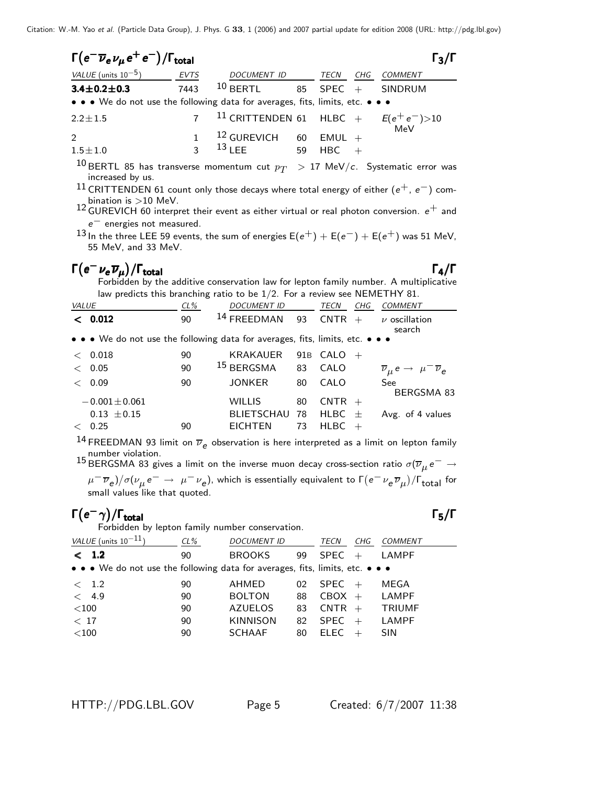| $\Gamma(e^{-}\overline{\nu}_{e}\nu_{\mu}e^{+}e^{-})/\Gamma_{\text{total}}$    |              |                                                           |             |     | $\Gamma_3/\Gamma$ |
|-------------------------------------------------------------------------------|--------------|-----------------------------------------------------------|-------------|-----|-------------------|
| VALUE (units $10^{-5}$ )                                                      | <b>EVTS</b>  | DOCUMENT ID                                               | <b>TECN</b> | CHG | <i>COMMENT</i>    |
| $3.4 \pm 0.2 \pm 0.3$                                                         | 7443         | $10$ BERTL 85 SPEC + SINDRUM                              |             |     |                   |
| • • • We do not use the following data for averages, fits, limits, etc. • • • |              |                                                           |             |     |                   |
| $2.2 \pm 1.5$                                                                 |              | <sup>11</sup> CRITTENDEN 61 HLBC + $E(e^+e^-)$ >10<br>MeV |             |     |                   |
| $\mathcal{P}$                                                                 |              | $12$ GUREVICH 60                                          | $EMUL +$    |     |                   |
| $1.5 \pm 1.0$<br>10                                                           | $\mathbf{R}$ | $13$ I FE<br>59                                           | $HBC +$     |     |                   |

 $^{10}$  BERTL 85 has transverse momentum cut  $p_T$   $\;>$  17 MeV/ $c$ . Systematic error was increased by us.

<sup>11</sup> CRITTENDEN 61 count only those decays where total energy of either (*e*+, *e*−) combination is >10 MeV.

12 GUREVICH 60 interpret their event as either virtual or real photon conversion.  $e^+$  and  $e^-$  energies not measured. *e*<sup>−</sup> energies not measured.<br>In the three LEE EQ events

13 In the three LEE 59 events, the sum of energies  $E(e^+) + E(e^-) + E(e^+)$  was 51 MeV,<br>55 MeV, and 33 MeV 55 MeV, and 33 MeV.

**Γ(e<sup>−</sup>νe∇µ)/Γtotal**<br>Forbidden by the additive conservation law for lepton family number. A multiplicative Forbidden by the additive conservation law for lepton family number. A multiplicative law predicts this branching ratio to be 1/2. For a review see NEMETHY 81.

| <b>VALUE</b> |                                                                               | $CL\%$ | <b>DOCUMENT ID</b>     |    | TECN         | CHG | COMMENT                                                         |
|--------------|-------------------------------------------------------------------------------|--------|------------------------|----|--------------|-----|-----------------------------------------------------------------|
|              | < 0.012                                                                       | 90     | <sup>14</sup> FREEDMAN | 93 | $CNTR +$     |     | $\nu$ oscillation<br>search                                     |
|              | • • • We do not use the following data for averages, fits, limits, etc. • • • |        |                        |    |              |     |                                                                 |
|              | $<$ 0.018                                                                     | 90     | <b>KRAKAUER</b>        |    | 91B CALO $+$ |     |                                                                 |
| $\lt$        | 0.05                                                                          | 90     | $^{15}$ BERGSMA        | 83 | CALO         |     | $\overline{\nu}_{\mu} e \rightarrow \mu^{-} \overline{\nu}_{e}$ |
| $\lt$        | 0.09                                                                          | 90     | <b>JONKER</b>          | 80 | CALO         |     | See                                                             |
|              |                                                                               |        |                        |    |              |     | BERGSMA 83                                                      |
|              | $-0.001 \pm 0.061$                                                            |        | <b>WILLIS</b>          | 80 | $CNTR +$     |     |                                                                 |
|              | $0.13 \pm 0.15$                                                               |        | BLIETSCHAU 78          |    | HLBC $\pm$   |     | Avg. of 4 values                                                |
|              | 0.25                                                                          | 90     | <b>EICHTEN</b>         | 73 | $H L B C +$  |     |                                                                 |

<sup>14</sup> FREEDMAN 93 limit on  $\overline{\nu}_e$  observation is here interpreted as a limit on lepton family <sup>14</sup> FREEDMAN 93 limit on  $\overline{\nu}_e$  observation is here interpreted as a limit on lepton family number violation.<br><sup>15</sup> BERGSMA 83 gives a limit on the inverse muon decay cross-section ratio σ( $\overline{\nu}_\mu e^-\rightarrow$ 

*μ*− *⊽<sub>e</sub>*)/σ(*ν*<sub>μ</sub> e− → μ− *ν<sub>e</sub>*), which is essentially equivalent to Γ(e− *ν<sub>e</sub> ν<sub>e</sub>*)/Γ<sub>total</sub> for<br>small values like that quoted. small values like that quoted.

Γ(e<sup>−</sup>γ)/Γ<sub>total</sub><br>Forbidden by lepton family number conservation.<br>Forbidden by lepton family number conservation. Γ(e<sup>-</sup>γ)/Γ<sub>total</sub> Γ<sub>5</sub>/Γ<br>Forbidden by lepton family number conservation.  $\Gamma_{\rm total}$  Γ<sub>5</sub>/Γ

| VALUE (units $10^{-11}$ )                                                     | $CL\%$ | <b>DOCUMENT ID</b> |    | TECN        | CHG | COMMENT       |
|-------------------------------------------------------------------------------|--------|--------------------|----|-------------|-----|---------------|
| < 1.2                                                                         | 90     | <b>BROOKS</b>      | 99 | $SPEC +$    |     | LAMPF         |
| • • • We do not use the following data for averages, fits, limits, etc. • • • |        |                    |    |             |     |               |
| $\langle$ 1.2                                                                 | 90     | AHMED              | 02 | $SPEC +$    |     | MEGA          |
| < 4.9                                                                         | 90     | <b>BOLTON</b>      | 88 | $CBOX +$    |     | LAMPF         |
| $<$ 100                                                                       | 90     | <b>AZUELOS</b>     | 83 | $CNTR +$    |     | <b>TRIUMF</b> |
| < 17                                                                          | 90     | <b>KINNISON</b>    | 82 | $SPEC +$    |     | <b>LAMPF</b>  |
| $<$ 100                                                                       | 90     | <b>SCHAAF</b>      | 80 | <b>ELEC</b> |     | <b>SIN</b>    |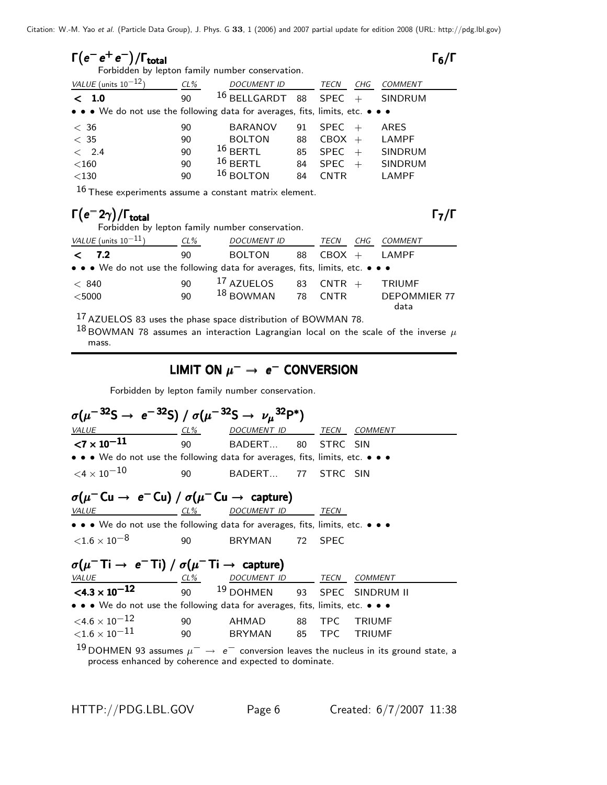| $\Gamma(e^- \, e^+ \, e^-)/\Gamma_{\rm total}$  | $\Gamma_6/\Gamma$ |
|-------------------------------------------------|-------------------|
| Forbidden by lepton family number conservation. |                   |

| VALUE (units $10^{-12}$ )                                                                                             | $CL\%$ | <b>DOCUMENT ID</b> |    | TECN<br>CHG        | <b>COMMENT</b> |
|-----------------------------------------------------------------------------------------------------------------------|--------|--------------------|----|--------------------|----------------|
| < 1.0                                                                                                                 | 90     | $16$ BELLGARDT     | 88 | SPEC<br>$+$        | SINDRUM        |
| $\bullet \bullet \bullet$ We do not use the following data for averages, fits, limits, etc. $\bullet \bullet \bullet$ |        |                    |    |                    |                |
| < 36                                                                                                                  | 90     | <b>BARANOV</b>     | 91 | <b>SPEC</b><br>$+$ | <b>ARES</b>    |
| < 35                                                                                                                  | 90     | <b>BOLTON</b>      | 88 | $CBOX +$           | LAMPF          |
| < 2.4                                                                                                                 | 90     | $16$ BERTL         | 85 | <b>SPEC</b><br>$+$ | <b>SINDRUM</b> |
| $<$ 160                                                                                                               | 90     | $16$ BERTL         | 84 | <b>SPEC</b><br>$+$ | <b>SINDRUM</b> |
| $<$ 130                                                                                                               | 90     | $16$ BOLTON        | 84 | `N⊤R               | LAMPF          |

 $16$  These experiments assume a constant matrix element.

#### Γ(e<sup>−</sup>2γ)/Γ<sub>total</sub><br>Forbidden by lepton family number conservation.<br>Forbidden by lepton family number conservation.  $\Gamma$ <sub>total</sub> Γ<sub>7</sub>/Γ Forbidden by lepton family number conservation.

| VALUE (units $10^{-11}$ )                                                     | $CL\%$ | <b>DOCUMENT ID</b>    |    | CHG<br>TECN | <i>COMMENT</i>      |
|-------------------------------------------------------------------------------|--------|-----------------------|----|-------------|---------------------|
| 7.2<br>$\langle$                                                              | 90     | <b>BOLTON</b>         | 88 | $CBOX +$    | LAMPF               |
| • • • We do not use the following data for averages, fits, limits, etc. • • • |        |                       |    |             |                     |
| < 840                                                                         | 90     | <sup>17</sup> AZUELOS |    | 83 $CNTR +$ | <b>TRIUMF</b>       |
| $<$ 5000                                                                      | 90     | $18$ BOWMAN 78 CNTR   |    |             | <b>DEPOMMIER 77</b> |
| 17.7                                                                          |        |                       |    |             | data                |

<sup>17</sup> AZUELOS 83 uses the phase space distribution of BOWMAN 78.

 $^{18}$  BOWMAN 78 assumes an interaction Lagrangian local on the scale of the inverse  $\mu$ mass.

#### LIMIT ON  $\mu^-$  → *e*<sup>−</sup> CONVERSION

Forbidden by lepton family number conservation.

process enhanced by coherence and expected to dominate.

*σ*(μ<sup>− 32</sup>S → e<sup>− 32</sup>S) / σ(μ<sup>− 32</sup>S → ν<sub>μ</sub><sup>32</sup>P\*) *VALUE CL% DOCUMENT ID TECN COMMENT* **<7 × 10<sup>−11</sup>** 90 BADERT... 80 STRC SIN • • • We do not use the following data for averages, fits, limits, etc. • • •  $\langle 4 \times 10^{-10}$  90 BADERT... 77 STRC SIN  $\sigma(\mu^- \text{Cu} \rightarrow e^- \text{Cu}) / \sigma(\mu^- \text{Cu} \rightarrow \text{capture})$ <u>*CL%*</u> *DOCUMENT* ID ••• We do not use the following data for averages, fits, limits, etc. •••  $\langle 1.6 \times 10^{-8}$  90 BRYMAN 72 SPEC  $\sigma(\mu^- \text{Ti} \rightarrow e^- \text{Ti}) / \sigma(\mu^- \text{Ti} \rightarrow \text{capture})$ <u>VALUE</u>  $\frac{CL\%}{DOCUMENT ID}$ *CL%* DOCUMENT ID TECN COMMENT<br> **C4.3 x 10<sup>-12</sup>** 90 <sup>19</sup> DOHMEN 93 SPEC SINDRUN SPEC SINDRUM II • • • We do not use the following data for averages, fits, limits, etc. • • •  $<$ 4.6 × 10 $^{-12}$  90 AHMAD 88 TPC TRIUMF<br> $<$ 1.6 × 10 $^{-11}$  90 BRYMAN 85 TPC TRIUMF  $<$ 1.6  $\times$  10 $^{-11}$ <sup>19</sup> DOHMEN 93 assumes <sup>µ</sup><sup>−</sup> <sup>→</sup> *e*<sup>−</sup> conversion leaves the nucleus in its ground state, a

HTTP://PDG.LBL.GOV Page 6 Created: 6/7/2007 11:38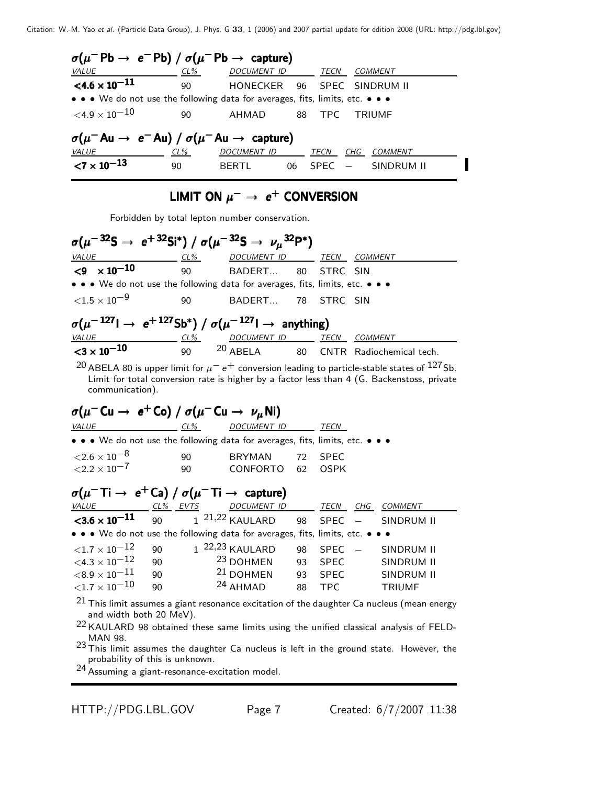| $\sigma(\mu^-{\sf Pb} \to e^-{\sf Pb}) / \sigma(\mu^-{\sf Pb} \to {\sf capture})$                                     |            |                  |    |             |        |                    |  |  |  |
|-----------------------------------------------------------------------------------------------------------------------|------------|------------------|----|-------------|--------|--------------------|--|--|--|
| <i>VALUE</i>                                                                                                          | $CL\%$     | DOCUMENT ID TECN |    |             |        | <i>COMMENT</i>     |  |  |  |
| $\leq 4.6 \times 10^{-11}$                                                                                            | 90         | HONECKER         |    |             |        | 96 SPEC SINDRUM II |  |  |  |
| $\bullet \bullet \bullet$ We do not use the following data for averages, fits, limits, etc. $\bullet \bullet \bullet$ |            |                  |    |             |        |                    |  |  |  |
| $<$ 4.9 $\times$ 10 $^{-10}$                                                                                          | 90         | AHMAD            |    | 88 TPC      |        | TRIUMF             |  |  |  |
| $\sigma(\mu^- A u \rightarrow e^- A u) / \sigma(\mu^- A u \rightarrow$ capture)                                       |            |                  |    |             |        |                    |  |  |  |
| <b>VALUE</b>                                                                                                          | <u>CL%</u> | DOCUMENT ID      |    | TECN        | CHG    | COMMENT            |  |  |  |
| ${<}7 \times 10^{-13}$                                                                                                | 90         | BERTL            | 06 | <b>SPFC</b> | $\sim$ | SINDRUM II         |  |  |  |

# LIMIT ON  $\mu^-$  →  $e^+$  CONVERSION

Forbidden by total lepton number conservation.

 $\sigma(\mu^{-32}S \to e^{+32}Si^*) / \sigma(\mu^{-32}S \to \nu_\mu^{32}P^*)$ <u>VALUE CON</u> VALUE COMMENT ID TECN COMMENT COMMENT COMMENT COMMENT COMMENT COMMENT COMMENT COMMENT COMMENT COMMENT COMMENT COMMENT COMMENT COMMENT COMMENT COMMENT COMMENT COMMENT COMMENT COMMENT COMMENT COMMENT COMMENT COM • • • We do not use the following data for averages, fits, limits, etc. • • •  $\langle 1.5 \times 10^{-9}$  90 BADERT... 78 STRC SIN  $\sigma(\mu^{-127} \rightarrow e^{+127} Sb^*) / \sigma(\mu^{-127} \rightarrow$  anything)<br>
<u>VALUE</u>  $\frac{CL\%}{DOCUMENT}$  D<sub>D</sub> TECN COMMENT **VALUE COMMENT COMMENT ID TECH** COMMENT COMMENT VALUE COMMENT VALUE OF COMMENT PRAdiochemical tech. <sup>20</sup> ABELA 80 is upper limit for  $\mu^- e^+$  conversion leading to particle-stable states of <sup>127</sup>Sb. Limit for total conversion rate is higher by a factor less than 4 (G. Backenstoss, private communication).  $\sigma(\mu^- \text{Cu} \rightarrow e^+ \text{Co}) / \sigma(\mu^- \text{Cu} \rightarrow \nu_\mu \text{Ni})$ <u>VALUE</u>  $\frac{CL\%}{DOCUMENT ID}$ ••• We do not use the following data for averages, fits, limits, etc. •••  $\langle 2.6 \times 10^{-8}$  90 BRYMAN 72 SPEC<br> $\langle 2.2 \times 10^{-7}$  90 CONFORTO 62 OSPK  $<$ 2.2  $\times$  10<sup>-7</sup> **σ(μ<sup>−</sup> Ti → e<sup>+</sup> Ca) / σ(μ<sup>−</sup> Ti → capture)**<br>
<u>VALUE CL% EVTS</u> DOCUMENT ID <u>VALUE COMMENT COMMENT IN THE COMMENT COMMENT COMMENT COMMENT COMMENT COMMENT COMMENT COMMENT COMMENT COMMENT COMMENT COMMENT COMMENT COMMENT COMMENT COMMENT COMMENT COMMENT COMMENT COMMENT COMMENT COMMENT COMMENT COMMENT</u> • • • We do not use the following data for averages, fits, limits, etc. • • •  $\langle 1.7 \times 10^{-12}$  90 1 <sup>22,23</sup> KAULARD 98 SPEC − SINDRUM II<br> $\langle 4.3 \times 10^{-12}$  90 <sup>23</sup> DOHMEN 93 SPEC SINDRUM II  $<$ 4.3 × 10 $^{-12}$  90  $^{-23}$  DOHMEN 93 SPEC<br>  $<$ 8.9 × 10 $^{-11}$  90  $^{-21}$  DOHMEN 93 SPEC  $<$ 8.9  $\times$  10 $^{-11}$  90  $^{-21}$  DOHMEN 93 SPEC SINDRUM II<br> $<$ 1.7  $\times$  10 $^{-10}$  90  $^{-24}$  AHMAD 88 TPC TRIUMF  ${<}1.7\times10^{-10}$  $21$  This limit assumes a giant resonance excitation of the daughter Ca nucleus (mean energy and width both 20 MeV).

<sup>22</sup> KAULARD 98 obtained these same limits using the unified classical analysis of FELD-MAN 98.

23 This limit assumes the daughter Ca nucleus is left in the ground state. However, the probability of this is unknown.

24 Assuming a giant-resonance-excitation model.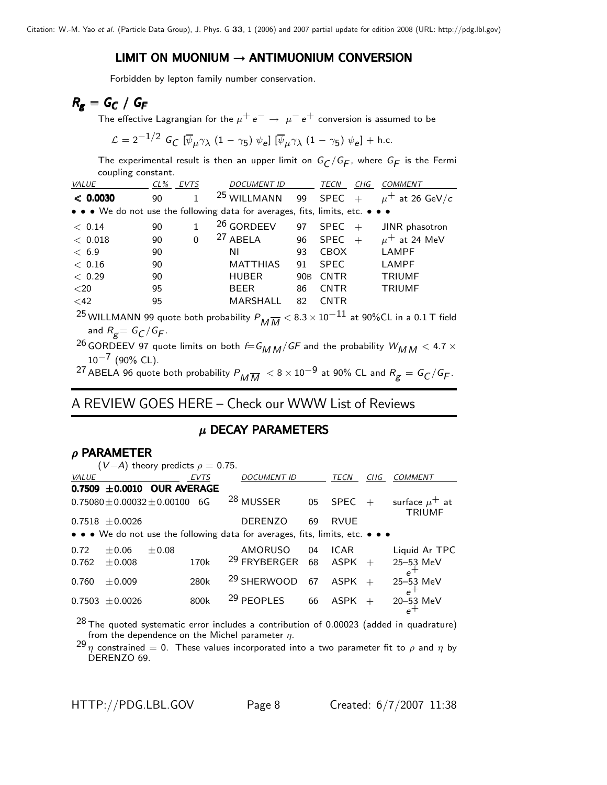#### LIMIT ON MUONIUM  $\rightarrow$  ANTIMUONIUM CONVERSION

Forbidden by lepton family number conservation.

$$
R_{\mathbf{g}} = G_C / G_F
$$

The effective Lagrangian for the  $\mu^+ \, e^- \rightarrow \ \mu^- \, e^+$  conversion is assumed to be

$$
\mathcal{L} = 2^{-1/2} G_C \left[ \overline{\psi}_{\mu} \gamma_{\lambda} (1 - \gamma_5) \psi_{e} \right] \left[ \overline{\psi}_{\mu} \gamma_{\lambda} (1 - \gamma_5) \psi_{e} \right] + \text{h.c.}
$$

The experimental result is then an upper limit on  $G_C/G_F$ , where  $G_F$  is the Fermi coupling constant.

| <b>VALUE</b> |    | CL% EVTS | <b>DOCUMENT ID</b>                                                            |                 | TECN<br>CHG        | <b>COMMENT</b>      |
|--------------|----|----------|-------------------------------------------------------------------------------|-----------------|--------------------|---------------------|
| < 0.0030     | 90 | 1        | <sup>25</sup> WILLMANN                                                        | 99              | <b>SPEC</b><br>$+$ | $\mu^+$ at 26 GeV/c |
|              |    |          | • • • We do not use the following data for averages, fits, limits, etc. • • • |                 |                    |                     |
| < 0.14       | 90 | 1        | <sup>26</sup> GORDEEV                                                         | 97              | <b>SPEC</b><br>$+$ | JINR phasotron      |
| < 0.018      | 90 | 0        | <sup>27</sup> ABELA                                                           | 96              | <b>SPEC</b><br>$+$ | $\mu^+$ at 24 MeV   |
| < 6.9        | 90 |          | ΝI                                                                            | 93              | <b>CBOX</b>        | <b>LAMPF</b>        |
| < 0.16       | 90 |          | <b>MATTHIAS</b>                                                               | 91              | <b>SPEC</b>        | <b>LAMPF</b>        |
| < 0.29       | 90 |          | <b>HUBER</b>                                                                  | 90 <sub>B</sub> | <b>CNTR</b>        | <b>TRIUMF</b>       |
| $<$ 20       | 95 |          | <b>BEER</b>                                                                   | 86              | <b>CNTR</b>        | <b>TRIUMF</b>       |
| $<$ 42       | 95 |          | MARSHALL                                                                      | 82              | <b>CNTR</b>        |                     |
|              |    |          |                                                                               |                 |                    |                     |

<sup>25</sup> WILLMANN 99 quote both probability  $P_{M\overline{M}} < 8.3 \times 10^{-11}$  at 90%CL in a 0.1 T field and  $R_{g} = G_{C}/G_{F}$ . and  $R_g = G_C/G_F$ .<br>COPDEEV 07 aug

- <sup>26</sup> GORDEEV 97 quote limits on both  $f=G_{M\,M}/GF$  and the probability  $W_{M\,M} < 4.7\times 10^{-7}$  (90% CL)  $10^{-7}$  (90% CL).
- $^{27}$  ABELA 96 quote both probability  $P_{\textit{M}\,\overline{\textit{M}}\,}$   $<$  8  $\times$  10 $^{-9}$  at 90% CL and  $R_{\textit{g}}=$   $G_{\textit{C}}/G_{\textit{F}}$ .

### A REVIEW GOES HERE – Check our WWW List of Reviews

## $\mu$  DECAY PARAMETERS

#### $ρ$  PARAMETER

|              |                                                                               | $(V-A)$ theory predicts $\rho = 0.75$ . |                  |  |                            |    |             |     |                                                                                           |  |
|--------------|-------------------------------------------------------------------------------|-----------------------------------------|------------------|--|----------------------------|----|-------------|-----|-------------------------------------------------------------------------------------------|--|
| <i>VALUE</i> |                                                                               |                                         | <b>EVTS</b>      |  | <b>DOCUMENT ID</b>         |    | <b>TECN</b> | CHG | <b>COMMENT</b>                                                                            |  |
|              |                                                                               | 0.7509 $\pm$ 0.0010 OUR AVERAGE         |                  |  |                            |    |             |     |                                                                                           |  |
|              |                                                                               | $0.75080 \pm 0.00032 \pm 0.00100$ 6G    |                  |  | <sup>28</sup> MUSSER       | 05 | <b>SPEC</b> | $+$ | surface $\mu^+$ at<br><b>TRIUMF</b>                                                       |  |
|              | $0.7518 \pm 0.0026$                                                           |                                         |                  |  | <b>DERENZO</b>             | 69 | <b>RVUE</b> |     |                                                                                           |  |
|              | • • • We do not use the following data for averages, fits, limits, etc. • • • |                                         |                  |  |                            |    |             |     |                                                                                           |  |
| 0.72         | $+0.06$                                                                       | $\pm 0.08$                              |                  |  | AMORUSO                    |    | 04 ICAR     |     | Liquid Ar TPC                                                                             |  |
| 0.762        | $\pm 0.008$                                                                   |                                         | 170 <sub>k</sub> |  | <sup>29</sup> FRYBERGER 68 |    | ASPK        | $+$ | 25-53 MeV<br>$e^+$                                                                        |  |
| 0.760        | $+0.009$                                                                      |                                         | 280k             |  | <sup>29</sup> SHERWOOD     | 67 | $ASPK +$    |     | 25-53 MeV<br>$e^+$                                                                        |  |
| 0.7503       | $+0.0026$                                                                     |                                         | 800k             |  | <sup>29</sup> PEOPLES      | 66 | ASPK        | $+$ | 20-53 MeV<br>$e^+$                                                                        |  |
|              |                                                                               |                                         |                  |  |                            |    |             |     | $28$ The quoted systematic error includes a contribution of 0.00023 (added in quadrature) |  |

from the dependence on the Michel parameter  $\eta$ .<br><sup>29</sup>  $\eta$  constrained = 0. These values incorporated into a two parameter fit to  $\rho$  and  $\eta$  by DERENZO 69.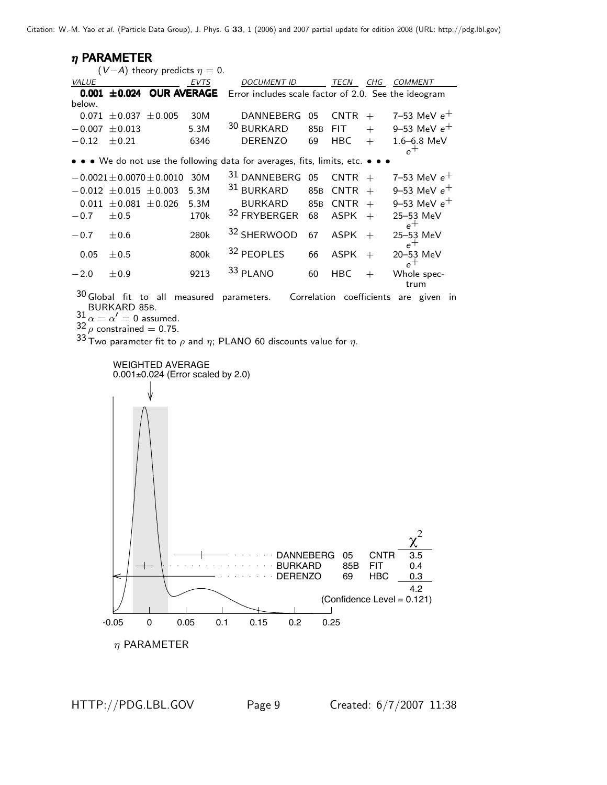$n$  PARAMETER  $(V−A)$  theory predicts  $η = 0$ .<br>*EVTS* VALUE **0.001 ±0.024 OUR AVERAGE** Error includes scale factor of 2.0. See the ideogram below.  $-0.071 \pm 0.037 \pm 0.005$  30M DANNEBERG 05 CNTR + 7-53 MeV  $e^+$ <br>-0.007  $\pm$ 0.013 5.3M <sup>30</sup> BURKARD 85B FIT + 9-53 MeV  $e^+$ <sup>−</sup>0.<sup>007</sup> <sup>±</sup>0.013 5.3M <sup>30</sup> BURKARD 85<sup>B</sup> FIT + 9–53 MeV *e*<sup>+</sup>  $-0.12 \pm 0.21$  6346 DERENZO 69 HBC + 1.6–6.8 MeV  $e^+$ • • • We do not use the following data for averages, fits, limits, etc. • −0.0021±0.0070±0.0010 30M <sup>31</sup> DANNEBERG 05 CNTR + 7-53 MeV *e*<sup>+</sup><br>−0.012 ±0.015 ±0.003 5.3M <sup>31</sup> BURKARD 85B CNTR + 9-53 MeV *e*<sup>+</sup> <sup>−</sup>0.<sup>012</sup> <sup>±</sup>0.<sup>015</sup> <sup>±</sup>0.003 5.3M <sup>31</sup> BURKARD 85<sup>B</sup> CNTR + 9–53 MeV *e*<sup>+</sup>  $0.011 \pm 0.081 \pm 0.026$  5.3M BURKARD 85B CNTR + 9-53 MeV<br>-0.7  $\pm$ 0.5 170k <sup>32</sup> FRYBERGER 68 ASPK + 25-53 MeV  $\frac{32 \text{ FRYBERGER}}{25-53}$  68 ASPK + 25–53  $-0.7$   $\pm 0.6$  280k  $32$  SHERWOOD 67 ASPK + 25-53 MeV e<sup>+</sup><br>20–53 MeV 0.05  $\pm$  0.5 800k <sup>32</sup> PEOPLES 66 ASPK + 20-53  $-2.0$   $\pm 0.9$  9213  $33$  PLANO 60 HBC + Whole spec-Whole spectrum

 $30$  Global fit to all measured parameters. Correlation coefficients are given in BURKARD 85B.

 $31 \alpha = \alpha' = 0$  assumed.

 $32 \frac{\mu}{\rho}$  constrained = 0.75.

33 Two parameter fit to  $\rho$  and  $\eta$ ; PLANO 60 discounts value for  $\eta$ .

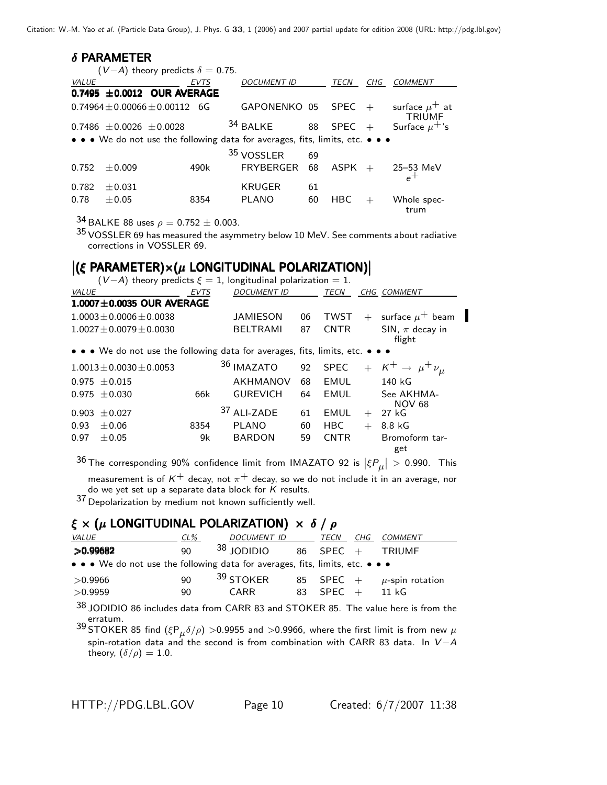#### $\delta$  PARAMETER

|       |                                | $(V-A)$ theory predicts $\delta = 0.75$ .                                     |                       |    |             |     |                                     |
|-------|--------------------------------|-------------------------------------------------------------------------------|-----------------------|----|-------------|-----|-------------------------------------|
| VALUE |                                | <b>EVTS</b>                                                                   | <b>DOCUMENT ID</b>    |    | TECN        | CHG | <b>COMMENT</b>                      |
|       |                                | 0.7495 $\pm$ 0.0012 OUR AVERAGE                                               |                       |    |             |     |                                     |
|       |                                | $0.74964 + 0.00066 + 0.00112$<br>6G                                           | GAPONENKO 05          |    | SPEC        | $+$ | surface $\mu^+$ at<br><b>TRIUMF</b> |
|       | $0.7486 \pm 0.0026 \pm 0.0028$ |                                                                               | 34 BALKE              | 88 | <b>SPEC</b> | $+$ | Surface $\mu^+$ 's                  |
|       |                                | • • • We do not use the following data for averages, fits, limits, etc. • • • |                       |    |             |     |                                     |
|       |                                |                                                                               | <sup>35</sup> VOSSLER | 69 |             |     |                                     |
| 0.752 | $+0.009$                       | 490k                                                                          | <b>FRYBERGER</b>      | 68 | <b>ASPK</b> | $+$ | $25-53$ MeV                         |
|       |                                |                                                                               |                       |    |             |     | $e^+$                               |
| 0.782 | $+0.031$                       |                                                                               | KRUGER                | 61 |             |     |                                     |
| 0.78  | $+0.05$                        | 8354                                                                          | <b>PLANO</b>          | 60 | HBC         |     | Whole spec-<br>trum                 |

34 BALKE 88 uses  $\rho = 0.752 \pm 0.003$ .

 $35$  VOSSLER 69 has measured the asymmetry below 10 MeV. See comments about radiative corrections in VOSSLER 69.

# $|(\xi \text{ PARAMETER}) \times (\mu \text{ LONGITUDINAL POLARIZATION})|$

 $(V-A)$  theory predicts  $\xi = 1$ , longitudinal polarization = 1.

| <i>VALUE</i> |                                                                               | EVTS | DOCUMENT ID     |    | TECN        |     | CHG COMMENT                       |
|--------------|-------------------------------------------------------------------------------|------|-----------------|----|-------------|-----|-----------------------------------|
|              | $1.0007 \pm 0.0035$ OUR AVERAGE                                               |      |                 |    |             |     |                                   |
|              | $1.0003 \pm 0.0006 \pm 0.0038$                                                |      | <b>JAMIESON</b> | 06 | <b>TWST</b> | $+$ | surface $\mu^+$ beam              |
|              | $1.0027 \pm 0.0079 \pm 0.0030$                                                |      | <b>BELTRAMI</b> | 87 | <b>CNTR</b> |     | SIN, $\pi$ decay in<br>flight     |
|              | • • • We do not use the following data for averages, fits, limits, etc. • • • |      |                 |    |             |     |                                   |
|              | $1.0013 \pm 0.0030 \pm 0.0053$                                                |      | 36 IMAZATO      |    | 92 SPEC     |     | $+ K^+ \rightarrow \mu^+ \nu_\mu$ |
|              | $0.975 \pm 0.015$                                                             |      | <b>AKHMANOV</b> | 68 | EMUL        |     | 140 kG                            |
|              | $0.975 \pm 0.030$                                                             | 66k  | <b>GUREVICH</b> | 64 | <b>EMUL</b> |     | See AKHMA-<br><b>NOV 68</b>       |
| 0.903        | $\pm 0.027$                                                                   |      | 37 ALI-ZADE     | 61 | EMUL        | $+$ | 27 kG                             |
| 0.93         | $\pm 0.06$                                                                    | 8354 | <b>PLANO</b>    | 60 | HBC         | $+$ | 8.8 kG                            |
| 0.97         | $\pm 0.05$                                                                    | 9k   | <b>BARDON</b>   | 59 | <b>CNTR</b> |     | Bromoform tar-<br>get             |

 $^{36}$  The corresponding 90% confidence limit from IMAZATO 92 is  $|\xi P_\mu| >$  0.990. This

measurement is of  $K^+$  decay, not  $\pi^+$  decay, so we do not include it in an average, nor do we yet set up a separate data block for K results. do we yet set up a separate data block for *K* results. 37 Depolarization by medium not known sufficiently well.

### $\xi \times (\mu$  LONGITUDINAL POLARIZATION)  $\times \delta / \rho$

| <b>VALUE</b>                                                                  | $CL\%$   | DOCUMENT ID                  | TECN               | CHG COMMENT                                         |
|-------------------------------------------------------------------------------|----------|------------------------------|--------------------|-----------------------------------------------------|
| >0.99682                                                                      | ۹O       | $38$ JODIDIO                 | 86 SPEC $+$ TRIUMF |                                                     |
| • • • We do not use the following data for averages, fits, limits, etc. • • • |          |                              |                    |                                                     |
| >0.9966<br>>0.9959                                                            | 90<br>90 | <sup>39</sup> STOKER<br>CARR | 83 SPEC $+$        | 85 SPEC + $\mu$ -spin rotation<br>$11 \; \text{kG}$ |
|                                                                               |          |                              |                    |                                                     |

38 JODIDIO 86 includes data from CARR 83 and STOKER 85. The value here is from the erratum.

39 STOKER 85 find  $(\xi P_\mu \delta/\rho) > 0.9955$  and  $> 0.9966$ , where the first limit is from new  $\mu$ spin-rotation data and the second is from combination with CARR 83 data. In *V* <sup>−</sup>*A* theory,  $(\delta/\rho) = 1.0$ .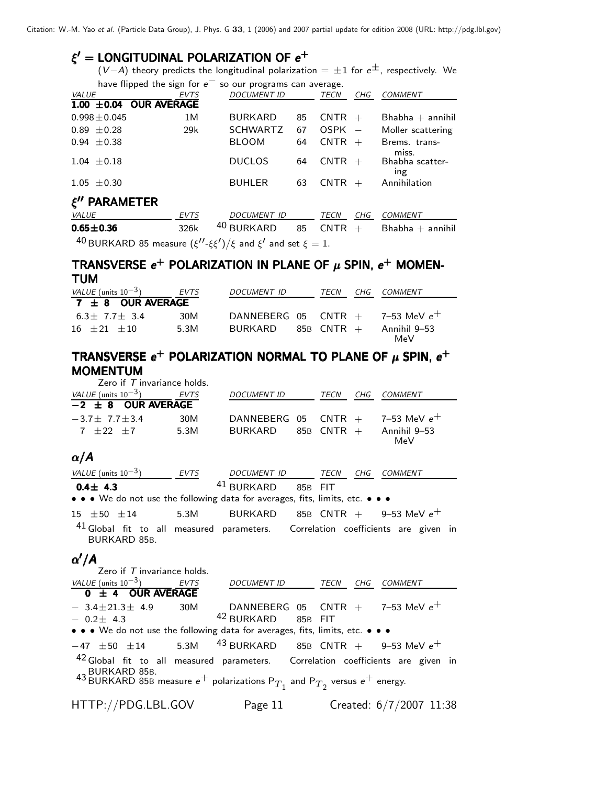### $\xi'$  = LONGITUDINAL POLARIZATION OF  $e^+$

 $(V-A)$  theory predicts the longitudinal polarization =  $\pm 1$  for  $e^{\pm}$ , respectively. We have flipped the sign for *e*<sup>−</sup> so our programs can average.

|                                                                                       | $\frac{1}{2}$ is a set of $\frac{1}{2}$ in $\frac{1}{2}$ in $\frac{1}{2}$ in $\frac{1}{2}$ in $\frac{1}{2}$ | 30 Our programs can average. |    |             |     |                        |
|---------------------------------------------------------------------------------------|-------------------------------------------------------------------------------------------------------------|------------------------------|----|-------------|-----|------------------------|
| <i>VALUE</i>                                                                          | EVTS                                                                                                        | <b>DOCUMENT ID</b>           |    | TECN        | CHG | <b>COMMENT</b>         |
| $1.00 \pm 0.04$ OUR AVERAGE                                                           |                                                                                                             |                              |    |             |     |                        |
| $0.998 \pm 0.045$                                                                     | 1M                                                                                                          | <b>BURKARD</b>               | 85 | $CNTR +$    |     | $B$ habha $+$ annihil  |
| $0.89 \pm 0.28$                                                                       | 29k                                                                                                         | <b>SCHWARTZ</b>              | 67 | $OSPK -$    |     | Moller scattering      |
| $0.94 \pm 0.38$                                                                       |                                                                                                             | <b>BLOOM</b>                 | 64 | $CNTR +$    |     | Brems. trans-<br>miss. |
| $1.04 \pm 0.18$                                                                       |                                                                                                             | <b>DUCLOS</b>                | 64 | $CNTR +$    |     | Bhabha scatter-<br>ing |
| $1.05 \pm 0.30$                                                                       |                                                                                                             | <b>BUHLER</b>                | 63 | <b>CNTR</b> | $+$ | Annihilation           |
| $\xi''$ PARAMETER                                                                     |                                                                                                             |                              |    |             |     |                        |
| VALUE                                                                                 | EVTS                                                                                                        | <b>DOCUMENT ID</b>           |    | TECN        | CHG | COMMENT                |
| $0.65 \pm 0.36$                                                                       | 326k                                                                                                        | 40 BURKARD                   | 85 | <b>CNTR</b> | $+$ | $Bhabha + annihil$     |
| <sup>40</sup> BURKARD 85 measure $(\xi''-\xi\xi')/\xi$ and $\xi'$ and set $\xi = 1$ . |                                                                                                             |                              |    |             |     |                        |

TRANSVERSE  $e^+$  POLARIZATION IN PLANE OF  $\mu$  SPIN,  $e^+$  MOMEN-<br>TUM TUM TUM

| VALUE (units $10^{-3}$ ) | EVTS | <b>DOCUMENT ID</b>                   | TECN | CHG COMMENT         |
|--------------------------|------|--------------------------------------|------|---------------------|
| $7 \pm 8$ OUR AVERAGE    |      |                                      |      |                     |
| $6.3 + 7.7 + 3.4$        | 30M  | DANNEBERG 05 CNTR $+$ 7-53 MeV $e^+$ |      |                     |
| $16 + 21 + 10$           | 5.3M | $BURKARD$ 85B CNTR $+$               |      | Annihil 9–53<br>MeV |

## TRANSVERSE e<sup>+</sup> POLARIZATION NORMAL TO PLANE OF  $\mu$  SPIN, e<sup>+</sup><br>MOMENTUM MOMENTUM

| Zero if $T$ invariance holds.   |             |                    |            |     |                                      |
|---------------------------------|-------------|--------------------|------------|-----|--------------------------------------|
| <i>VALUE</i> (units $10^{-3}$ ) | <b>EVTS</b> | <b>DOCUMENT ID</b> | TECN       | CHG | COMMENT                              |
| $-2 \pm 8$ OUR AVERAGE          |             |                    |            |     |                                      |
| $-3.7 + 7.7 + 3.4$              | 30M         |                    |            |     | DANNEBERG 05 CNTR $+$ 7-53 MeV $e^+$ |
| $7 + 22 + 7$                    | 5.3M        | BURKARD            | 85B CNTR + |     | Annihil 9–53<br>MeV                  |
|                                 |             |                    |            |     |                                      |

### <sup>α</sup>/*A*

| VALUE (units $10^{-3}$ )                                                      | EVTS | <i>DOCUMENT ID</i> |         | TECN | CHG COMMENT |
|-------------------------------------------------------------------------------|------|--------------------|---------|------|-------------|
| $0.4 \pm 4.3$                                                                 |      | $^{41}$ BURKARD    | 85B FIT |      |             |
| • • • We do not use the following data for averages, fits, limits, etc. • • • |      |                    |         |      |             |

<sup>15</sup> <sup>±</sup><sup>50</sup> <sup>±</sup>14 5.3M BURKARD 85<sup>B</sup> CNTR + 9–53 MeV *e*<sup>+</sup> 41 Global fit to all measured parameters. Correlation coefficients are given in

BURKARD 85B.

# α /*A*α /

| Zero if $T$ invariance holds.                                                                                       |                               |  |                         |
|---------------------------------------------------------------------------------------------------------------------|-------------------------------|--|-------------------------|
|                                                                                                                     | DOCUMENT ID TECN CHG COMMENT  |  |                         |
| $0 \pm 4$ OUR AVERAGE                                                                                               |                               |  |                         |
| $-3.4 \pm 21.3 \pm 4.9$ 30M DANNEBERG 05 CNTR + 7-53 MeV e <sup>+</sup>                                             |                               |  |                         |
| $-0.2 \pm 4.3$                                                                                                      | <sup>42</sup> BURKARD 85B FIT |  |                         |
| • • • We do not use the following data for averages, fits, limits, etc. • • •                                       |                               |  |                         |
| $-47$ $\pm 50$ $\pm 14$ 5.3M $^{43}$ BURKARD 85B CNTR + 9-53 MeV $e^+$                                              |                               |  |                         |
| 42 Global fit to all measured parameters. Correlation coefficients are given in                                     |                               |  |                         |
| BURKARD 85B.<br>43 BURKARD 85B measure $e^+$ polarizations ${\sf P}_{T_1}$ and ${\sf P}_{T_2}$ versus $e^+$ energy. |                               |  |                         |
| HTTP://PDG.LBL.GOV                                                                                                  | Page 11                       |  | Created: 6/7/2007 11:38 |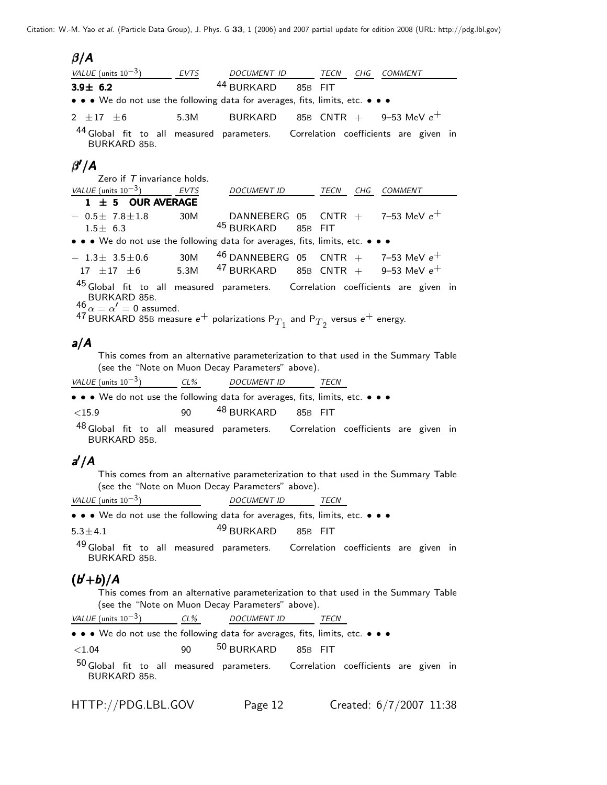#### <sup>β</sup>/*A*

| VALUE (units $10^{-3}$ )                                                                                                                                                                                                                               | EVTS | DOCUMENT ID TECN CHG                    |         |     | COMMENT                                                |  |
|--------------------------------------------------------------------------------------------------------------------------------------------------------------------------------------------------------------------------------------------------------|------|-----------------------------------------|---------|-----|--------------------------------------------------------|--|
| $3.9 \pm 6.2$                                                                                                                                                                                                                                          |      | 44 BURKARD                              | 85B FIT |     |                                                        |  |
| • • • We do not use the following data for averages, fits, limits, etc. • • •                                                                                                                                                                          |      |                                         |         |     |                                                        |  |
| 2 $\pm 17$ $\pm 6$                                                                                                                                                                                                                                     |      | 5.3M BURKARD                            |         |     | $85\mathrm{B}$ $\,$ CNTR $\,+\,$ $\,$ 9–53 MeV $e^{+}$ |  |
| 44 Global fit to all measured parameters. Correlation coefficients are given in<br>BURKARD 85B.                                                                                                                                                        |      |                                         |         |     |                                                        |  |
| $\beta^{\prime}/A$                                                                                                                                                                                                                                     |      |                                         |         |     |                                                        |  |
| Zero if $T$ invariance holds.                                                                                                                                                                                                                          |      |                                         |         |     |                                                        |  |
| VALUE (units $10^{-3}$ ) EVTS                                                                                                                                                                                                                          |      | DOCUMENT ID                             | TECN    | CHG | COMMENT                                                |  |
| $1 \pm 5$ OUR AVERAGE                                                                                                                                                                                                                                  |      |                                         |         |     |                                                        |  |
| $-$ 0.5 $\pm$ 7.8 $\pm$ 1.8                                                                                                                                                                                                                            | 30M  |                                         |         |     | DANNEBERG 05 CNTR $+$ 7-53 MeV $e^+$                   |  |
| $1.5 \pm 6.3$                                                                                                                                                                                                                                          |      | <sup>45</sup> BURKARD 85B FIT           |         |     |                                                        |  |
| • • • We do not use the following data for averages, fits, limits, etc. • • •                                                                                                                                                                          |      |                                         |         |     |                                                        |  |
| $-1.3\pm 3.5\pm 0.6$ 30M                                                                                                                                                                                                                               |      | $46$ DANNEBERG 05 CNTR + 7-53 MeV $e^+$ |         |     |                                                        |  |
| $17 \pm 17 \pm 6$ 5.3M                                                                                                                                                                                                                                 |      | $47$ BURKARD 85B CNTR + 9-53 MeV $e^+$  |         |     |                                                        |  |
| 45 Global fit to all measured parameters. Correlation coefficients are given in<br>BURKARD 85B.<br>$^{46} \alpha = \alpha' = 0$ assumed.<br>$^{47}$ BURKARD 85B measure $e^+$ polarizations $\text{P}_{T_1}$ and $\text{P}_{T_2}$ versus $e^+$ energy. |      |                                         |         |     |                                                        |  |

## *a*/*A*

This comes from an alternative parameterization to that used in the Summary Table (see the "Note on Muon Decay Parameters" above).

| VALUE (units $10^{-3}$ )                                                                                                      | CL% | DOCUMENT ID                   | <i>TECN</i> |  |  |
|-------------------------------------------------------------------------------------------------------------------------------|-----|-------------------------------|-------------|--|--|
| $\bullet$ $\bullet$ $\bullet$ We do not use the following data for averages, fits, limits, etc. $\bullet$ $\bullet$ $\bullet$ |     |                               |             |  |  |
| ${<}15.9$                                                                                                                     | 90  | <sup>48</sup> BURKARD 85B FIT |             |  |  |
| 48 Global fit to all measured parameters. Correlation coefficients are given in                                               |     |                               |             |  |  |

BURKARD 85B.

# *a* /*A a*

This comes from an alternative parameterization to that used in the Summary Table (see the "Note on Muon Decay Parameters" above).

*VALUE* (units 10−3) *DOCUMENT ID TECN*

• • • We do not use the following data for averages, fits, limits, etc. • • •

 $5.3 \pm 4.1$   $49$  BURKARD  $85B$  FIT

 $49$  Global fit to all measured parameters. Correlation coefficients are given in BURKARD 85B.

# (*b* <sup>+</sup>*b*)/*A* ( +)/ <sup>+</sup>*b*)/*A*

This comes from an alternative parameterization to that used in the Summary Table (see the "Note on Muon Decay Parameters" above).

| VALUE (units $10^{-3}$ ) | CL% | <b>DOCUMENT ID</b> |  |
|--------------------------|-----|--------------------|--|
|                          |     |                    |  |

• • • We do not use the following data for averages, fits, limits, etc. • • •

 $<$ 1.04  $<$ 90  $^{50}$  BURKARD 85B FIT

50 Global fit to all measured parameters. Correlation coefficients are given in BURKARD 85B.

HTTP://PDG.LBL.GOV Page 12 Created: 6/7/2007 11:38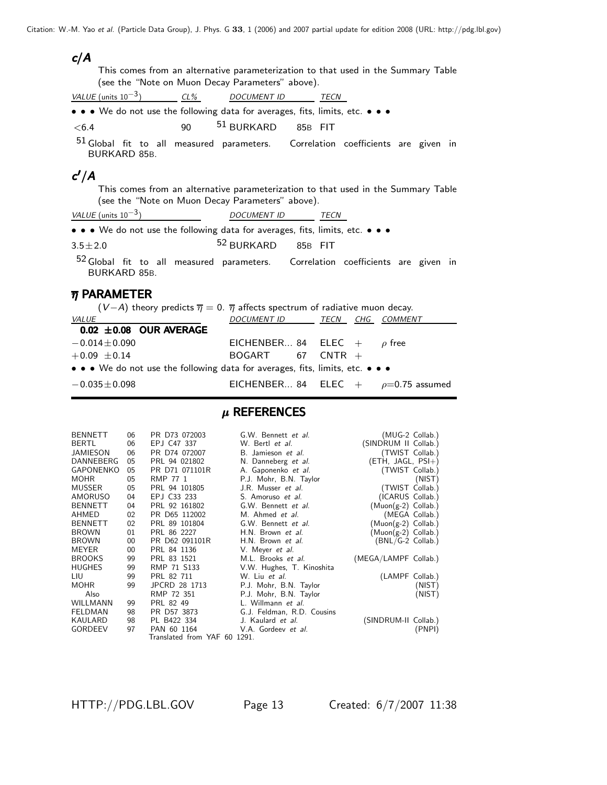*c*/*A*

This comes from an alternative parameterization to that used in the Summary Table (see the "Note on Muon Decay Parameters" above).

*VALUE* (units 10−3) *CL% DOCUMENT ID TECN* • • We do not use the following data for averages, fits, limits, etc. • • •  $<$ 6.4 90  $^{51}$  BURKARD 85B FIT

51 Global fit to all measured parameters. Correlation coefficients are given in BURKARD 85B.

# *c* /*A c*

This comes from an alternative parameterization to that used in the Summary Table (see the "Note on Muon Decay Parameters" above).

| VALUE (units $10^{-3}$ ) |  |  | <i>DOCUMENT ID</i>                                                            | <b>TFCN</b> |  |  |
|--------------------------|--|--|-------------------------------------------------------------------------------|-------------|--|--|
|                          |  |  | • • • We do not use the following data for averages, fits, limits, etc. • • • |             |  |  |

 $3.5 \pm 2.0$   $52$  BURKARD  $85B$  FIT

52 Global fit to all measured parameters. Correlation coefficients are given in BURKARD 85B.

#### $\overline{\eta}$  PARAMETER

| $(V-A)$ theory predicts $\overline{\eta} = 0$ . $\overline{\eta}$ affects spectrum of radiative muon decay. |                                            |  |  |  |  |  |  |  |  |  |
|-------------------------------------------------------------------------------------------------------------|--------------------------------------------|--|--|--|--|--|--|--|--|--|
| <i>VALUE</i>                                                                                                | DOCUMENT ID TECN CHG COMMENT               |  |  |  |  |  |  |  |  |  |
| $0.02 \pm 0.08$ OUR AVERAGE                                                                                 |                                            |  |  |  |  |  |  |  |  |  |
| $-0.014 \pm 0.090$                                                                                          | EICHENBER 84 ELEC $+$ $\rho$ free          |  |  |  |  |  |  |  |  |  |
| $+0.09 \pm 0.14$                                                                                            | $BOGART$ 67 CNTR $+$                       |  |  |  |  |  |  |  |  |  |
| • • • We do not use the following data for averages, fits, limits, etc. • • •                               |                                            |  |  |  |  |  |  |  |  |  |
| $-0.035 \!\pm\! 0.098$                                                                                      | EICHENBER 84 ELEC $+$ $\rho$ =0.75 assumed |  |  |  |  |  |  |  |  |  |

#### $\mu$  REFERENCES

| <b>BENNETT</b>   | 06     | PR D73 072003                | G.W. Bennett et al.        | (MUG-2 Collab.)       |                |
|------------------|--------|------------------------------|----------------------------|-----------------------|----------------|
| <b>BERTL</b>     | 06     | EPJ C47 337                  | W. Bertl et al.            | (SINDRUM II Collab.)  |                |
| JAMIESON         | 06     | PR D74 072007                | B. Jamieson et al.         | (TWIST Collab.)       |                |
| <b>DANNEBERG</b> | 05     | PRL 94 021802                | N. Danneberg et al.        | $(ETH, JAGL, PSI+)$   |                |
| <b>GAPONENKO</b> | 05     | PR D71 071101R               | A. Gaponenko et al.        | (TWIST Collab.)       |                |
| <b>MOHR</b>      | 05     | RMP 77 1                     | P.J. Mohr, B.N. Taylor     |                       | (NIST)         |
| <b>MUSSER</b>    | 05     | PRL 94 101805                | J.R. Musser et al.         | (TWIST Collab.)       |                |
| <b>AMORUSO</b>   | 04     | EPJ C33 233                  | S. Amoruso et al.          | (ICARUS Collab.)      |                |
| <b>BENNETT</b>   | 04     | PRL 92 161802                | G.W. Bennett et al.        | $(Muon(g-2)$ Collab.) |                |
| AHMED            | 02     | PR D65 112002                | M. Ahmed <i>et al.</i>     |                       | (MEGA Collab.) |
| <b>BENNETT</b>   | 02     | PRL 89 101804                | G.W. Bennett et al.        | (Muon(g-2) Collab.)   |                |
| <b>BROWN</b>     | 01     | PRL 86 2227                  | H.N. Brown et al.          | (Muon(g-2) Collab.)   |                |
| <b>BROWN</b>     | $00\,$ | PR D62 091101R               | H.N. Brown et al.          | (BNL/G-2 Collab.)     |                |
| <b>MEYER</b>     | 00     | PRL 84 1136                  | V. Meyer <i>et al.</i>     |                       |                |
| <b>BROOKS</b>    | 99     | PRL 83 1521                  | M.L. Brooks et al.         | (MEGA/LAMPF Collab.)  |                |
| <b>HUGHES</b>    | 99     | RMP 71 S133                  | V.W. Hughes, T. Kinoshita  |                       |                |
| LIU              | 99     | PRL 82 711                   | W. Liu et al.              | (LAMPF Collab.)       |                |
| <b>MOHR</b>      | 99     | JPCRD 28 1713                | P.J. Mohr, B.N. Taylor     |                       | (NIST)         |
| Also             |        | RMP 72 351                   | P.J. Mohr, B.N. Taylor     |                       | (NIST)         |
| WILLMANN         | 99     | PRL 82 49                    | L. Willmann et al.         |                       |                |
| <b>FELDMAN</b>   | 98     | PR D57 3873                  | G.J. Feldman, R.D. Cousins |                       |                |
| KAULARD          | 98     | PL B422 334                  | J. Kaulard et al.          | (SINDRUM-II Collab.)  |                |
| <b>GORDEEV</b>   | 97     | PAN 60 1164                  | V.A. Gordeev et al.        |                       | (PNPI)         |
|                  |        | Translated from YAF 60 1291. |                            |                       |                |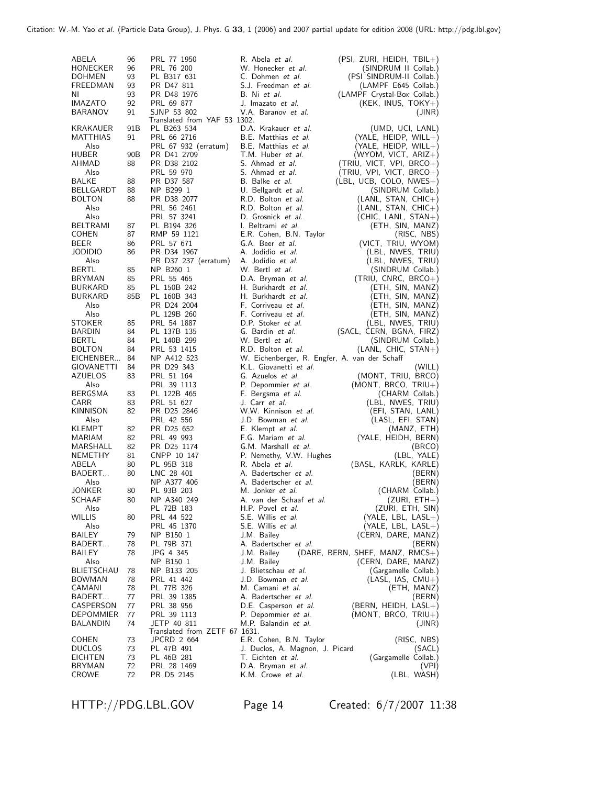| ABELA          | 96              | PRL 77 1950                   | R. Abela <i>et al.</i>                        | (PSI, ZURI, HEIDH, TBIL+)          |
|----------------|-----------------|-------------------------------|-----------------------------------------------|------------------------------------|
| HONECKER       | 96              | PRL 76 200                    | W. Honecker <i>et al.</i>                     | (SINDRUM II Collab.)               |
| DOHMEN         | 93              | PL B317 631                   | C. Dohmen et al.                              | (PSI SINDRUM-II Collab.)           |
|                | 93              | PR D47 811                    | S.J. Freedman et al.                          | (LAMPF E645 Collab.)               |
| FREEDMAN       |                 |                               |                                               |                                    |
| NL             | 93              | PR D48 1976                   | B. Ni et al.                                  | (LAMPF Crystal-Box Collab.)        |
| IMAZATO        | 92              | PRL 69 877                    | J. Imazato et al.                             | (KEK, INUS, $TOKY+)$               |
| <b>BARANOV</b> | 91              | SJNP 53 802                   | V.A. Baranov <i>et al.</i>                    | (JINR)                             |
|                |                 | Translated from YAF 53 1302.  |                                               |                                    |
| KRAKAUER       | 91B             | PL B263 534                   | D.A. Krakauer et al.                          | (UMD, UCI, LANL)                   |
|                |                 |                               |                                               |                                    |
| MATTHIAS       | 91              | PRL 66 2716                   | B.E. Matthias et al.                          | $(YALE, HEIDP, WILL+)$             |
| Also           |                 | PRL 67 932 (erratum)          | B.E. Matthias et al.                          | (YALE, HEIDP, WILL+)               |
| <b>HUBER</b>   | 90 <sub>B</sub> | PR D41 2709                   | T.M. Huber et al.                             | (WYOM, VICT, ARIZ+)                |
| AHMAD          | 88              | PR D38 2102                   | S. Ahmad et al.                               | (TRIU, VICT, VPI, BRCO+)           |
| Also           |                 | PRL 59 970                    | S. Ahmad et al.                               | (TRIU, VPI, VICT, BRCO+)           |
| <b>BALKE</b>   |                 |                               | B. Balke et al.                               |                                    |
|                | 88              | PR D37 587                    |                                               | $(EBL, UCB, COLO, NWES+)$          |
| BELLGARDT      | 88              | NP B299 1                     | U. Bellgardt et al.                           | (SINDRUM Collab.)                  |
| <b>BOLTON</b>  | 88              | PR D38 2077                   | R.D. Bolton et al.                            | $(LANL, STAN, CHIC+)$              |
| Also           |                 | PRL 56 2461                   | R.D. Bolton et al.                            | $(LANL, STAN, CHIC+)$              |
| Also           |                 | PRL 57 3241                   | D. Grosnick et al.                            | (CHIC, LANL, STAN+)                |
| BELTRAMI       | 87              | PL B194 326                   | I. Beltrami <i>et al.</i>                     | (ETH, SIN, MANZ)                   |
|                |                 |                               |                                               |                                    |
| <b>COHEN</b>   | 87              | RMP 59 1121                   | E.R. Cohen, B.N. Taylor                       | (RISC, NBS)                        |
| BEER           | 86              | PRL 57 671                    | G.A. Beer et al.                              | (VICT, TRIU, WYOM)                 |
| JODIDIO        | 86              | PR D34 1967                   | A. Jodidio et al.                             | (LBL, NWES, TRIU)                  |
| Also           |                 | PR D37 237 (erratum)          | A. Jodidio et al.                             | (LBL, NWES, TRIU)                  |
| BERTL          | 85              | NP B260 1                     | W. Bertl <i>et al.</i>                        | (SINDRUM Collab.)                  |
|                |                 |                               |                                               |                                    |
| BRYMAN         | 85              | PRL 55 465                    | D.A. Bryman et al.                            | $(TRIU, CNRC, BRCO+)$              |
| <b>BURKARD</b> | 85              | PL 150B 242                   | H. Burkhardt et al.                           | (ETH, SIN, MANZ)                   |
| BURKARD        | 85B             | PL 160B 343                   | H. Burkhardt et al.                           | (ETH, SIN, MANZ)                   |
| Also           |                 | PR D24 2004                   | F. Corriveau et al.                           | (ETH, SIN, MANZ)                   |
| Also           |                 | PL 129B 260                   | F. Corriveau et al.                           | (ETH, SIN, MANZ)                   |
|                |                 |                               | D.P. Stoker et al.                            | (LBL, NWES, TRIU)                  |
| STOKER         | 85              | PRL 54 1887                   |                                               |                                    |
| BARDIN         | 84              | PL 137B 135                   | G. Bardin et al.                              | (SACL, CERN, BGNA, FIRZ)           |
| BERTL          | 84              | PL 140B 299                   | W. Bertl <i>et al.</i>                        | (SINDRUM Collab.)                  |
| <b>BOLTON</b>  | 84              | PRL 53 1415                   | R.D. Bolton et al.                            | (LANL, CHIC, STAN+)                |
| EICHENBER      | 84              | NP A412 523                   | W. Eichenberger, R. Engfer, A. van der Schaff |                                    |
| GIOVANETTI     | 84              | PR D29 343                    | K.L. Giovanetti et al.                        | (WILL)                             |
| AZUELOS        | 83              | PRL 51 164                    | G. Azuelos et al.                             | (MONT, TRIU, BRCO)                 |
| Also           |                 | PRL 39 1113                   |                                               |                                    |
|                |                 |                               | P. Depommier et al.                           | (MONT, BRCO, $TRIU+$ )             |
| BERGSMA        | 83              | PL 122B 465                   | F. Bergsma et al.                             | (CHARM Collab.)                    |
| CARR           | 83              | PRL 51 627                    | J. Carr et <i>al</i> .                        | (LBL, NWES, TRIU)                  |
| KINNISON       | 82              | PR D25 2846                   | W.W. Kinnison et al.                          | (EFI, STAN, LANL)                  |
| Also           |                 | PRL 42 556                    | J.D. Bowman et al.                            | (LASL, EFI, STAN)                  |
| KLEMPT         | 82              | PR D25 652                    | E. Klempt <i>et al.</i>                       | (MANZ, ETH)                        |
| MARIAM         | 82              | PRL 49 993                    | F.G. Mariam et al.                            | (YALE, HEIDH, BERN)                |
|                |                 |                               |                                               |                                    |
| MARSHALL       | 82              | PR D25 1174                   | G.M. Marshall et al.                          | (BRCO)                             |
| NEMETHY        | 81              | CNPP 10 147                   | P. Nemethy, V.W. Hughes                       | (LBL, YALE)                        |
| ABELA          | 80              | PL 95B 318                    | R. Abela <i>et al.</i>                        | (BASL, KARLK, KARLE)               |
| BADERT         | 80              | LNC 28 401                    | A. Badertscher et al.                         | (BERN)                             |
| Also           |                 | NP A377 406                   | A. Badertscher <i>et al.</i>                  | (BERN)                             |
| JONKER         | 80              | PL 93B 203                    | M. Jonker et al.                              |                                    |
|                |                 |                               |                                               | (CHARM Collab.)                    |
| SCHAAF         | 80              | NP A340 249                   | A. van der Schaaf et al.                      | $(ZURI, ETH+)$                     |
| Also           |                 | PL 72B 183                    | H.P. Povel et al.                             | (ZURI, ETH, SIN)                   |
| WILLIS         | 80              | PRL 44 522                    | S.E. Willis et al.                            | $(YALE, LBL, LASL+)$               |
| Also           |                 | PRL 45 1370                   | S.E. Willis et al.                            | $(YALE, LBL, LASL+)$               |
| BAILEY         | 79              | NP B150 1                     | J.M. Bailey                                   | (CERN, DARE, MANZ)                 |
| BADERT         | 78              | PL 79B 371                    | A. Badertscher et al.                         | (BERN)                             |
|                |                 |                               |                                               |                                    |
| BAILEY         | 78              | JPG 4 345                     | J.M. Bailey                                   | (DARE, BERN, SHEF, MANZ, $RMCS+$ ) |
| Also           |                 | NP B150 1                     | J.M. Bailey                                   | (CERN, DARE, MANZ)                 |
| BLIETSCHAU     | 78              | NP B133 205                   | J. Blietschau et al.                          | (Gargamelle Collab.)               |
| <b>BOWMAN</b>  | 78              | PRL 41 442                    | J.D. Bowman et al.                            | (LASL, IAS, CMU+)                  |
| CAMANI         | 78              | PL 77B 326                    | M. Camani et al.                              | (ETH, MANZ)                        |
| BADERT         |                 |                               |                                               |                                    |
|                | 77              | PRL 39 1385                   | A. Badertscher et al.                         | (BERN)                             |
| CASPERSON      | 77              | PRL 38 956                    | D.E. Casperson et al.                         | $(BERN, HEIDH, LASL+)$             |
| DEPOMMIER      | 77              | PRL 39 1113                   | P. Depommier et al.                           | $(MONT, BRCO, TRIU+)$              |
| BALANDIN       | 74              | JETP 40 811                   | M.P. Balandin et al.                          | (JINR)                             |
|                |                 | Translated from ZETF 67 1631. |                                               |                                    |
| <b>COHEN</b>   | 73              | JPCRD 2 664                   | E.R. Cohen, B.N. Taylor                       | (RISC, NBS)                        |
| DUCLOS         | 73              | PL 47B 491                    | J. Duclos, A. Magnon, J. Picard               | (SACL)                             |
| EICHTEN        | 73              | PL 46B 281                    | T. Eichten et al.                             | (Gargamelle Collab.)               |
| BRYMAN         | 72              | PRL 28 1469                   |                                               |                                    |
|                |                 |                               | D.A. Bryman et al.                            | (VPI)                              |
| CROWE          | 72              | PR D5 2145                    | K.M. Crowe et al.                             | (LBL, WASH)                        |

HTTP://PDG.LBL.GOV Page 14 Created: 6/7/2007 11:38